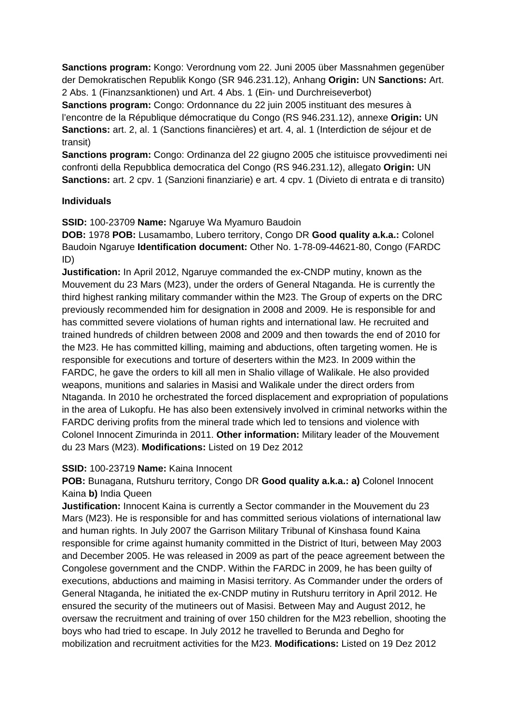**Sanctions program:** Kongo: Verordnung vom 22. Juni 2005 über Massnahmen gegenüber der Demokratischen Republik Kongo (SR 946.231.12), Anhang **Origin:** UN **Sanctions:** Art. 2 Abs. 1 (Finanzsanktionen) und Art. 4 Abs. 1 (Ein- und Durchreiseverbot)

**Sanctions program:** Congo: Ordonnance du 22 juin 2005 instituant des mesures à l'encontre de la République démocratique du Congo (RS 946.231.12), annexe **Origin:** UN **Sanctions:** art. 2, al. 1 (Sanctions financières) et art. 4, al. 1 (Interdiction de séjour et de transit)

**Sanctions program:** Congo: Ordinanza del 22 giugno 2005 che istituisce provvedimenti nei confronti della Repubblica democratica del Congo (RS 946.231.12), allegato **Origin:** UN **Sanctions:** art. 2 cpv. 1 (Sanzioni finanziarie) e art. 4 cpv. 1 (Divieto di entrata e di transito)

#### **Individuals**

**SSID:** 100-23709 **Name:** Ngaruye Wa Myamuro Baudoin

**DOB:** 1978 **POB:** Lusamambo, Lubero territory, Congo DR **Good quality a.k.a.:** Colonel Baudoin Ngaruye **Identification document:** Other No. 1-78-09-44621-80, Congo (FARDC ID)

**Justification:** In April 2012, Ngaruye commanded the ex-CNDP mutiny, known as the Mouvement du 23 Mars (M23), under the orders of General Ntaganda. He is currently the third highest ranking military commander within the M23. The Group of experts on the DRC previously recommended him for designation in 2008 and 2009. He is responsible for and has committed severe violations of human rights and international law. He recruited and trained hundreds of children between 2008 and 2009 and then towards the end of 2010 for the M23. He has committed killing, maiming and abductions, often targeting women. He is responsible for executions and torture of deserters within the M23. In 2009 within the FARDC, he gave the orders to kill all men in Shalio village of Walikale. He also provided weapons, munitions and salaries in Masisi and Walikale under the direct orders from Ntaganda. In 2010 he orchestrated the forced displacement and expropriation of populations in the area of Lukopfu. He has also been extensively involved in criminal networks within the FARDC deriving profits from the mineral trade which led to tensions and violence with Colonel Innocent Zimurinda in 2011. **Other information:** Military leader of the Mouvement du 23 Mars (M23). **Modifications:** Listed on 19 Dez 2012

#### **SSID:** 100-23719 **Name:** Kaina Innocent

**POB:** Bunagana, Rutshuru territory, Congo DR **Good quality a.k.a.: a)** Colonel Innocent Kaina **b)** India Queen

**Justification:** Innocent Kaina is currently a Sector commander in the Mouvement du 23 Mars (M23). He is responsible for and has committed serious violations of international law and human rights. In July 2007 the Garrison Military Tribunal of Kinshasa found Kaina responsible for crime against humanity committed in the District of Ituri, between May 2003 and December 2005. He was released in 2009 as part of the peace agreement between the Congolese government and the CNDP. Within the FARDC in 2009, he has been guilty of executions, abductions and maiming in Masisi territory. As Commander under the orders of General Ntaganda, he initiated the ex-CNDP mutiny in Rutshuru territory in April 2012. He ensured the security of the mutineers out of Masisi. Between May and August 2012, he oversaw the recruitment and training of over 150 children for the M23 rebellion, shooting the boys who had tried to escape. In July 2012 he travelled to Berunda and Degho for mobilization and recruitment activities for the M23. **Modifications:** Listed on 19 Dez 2012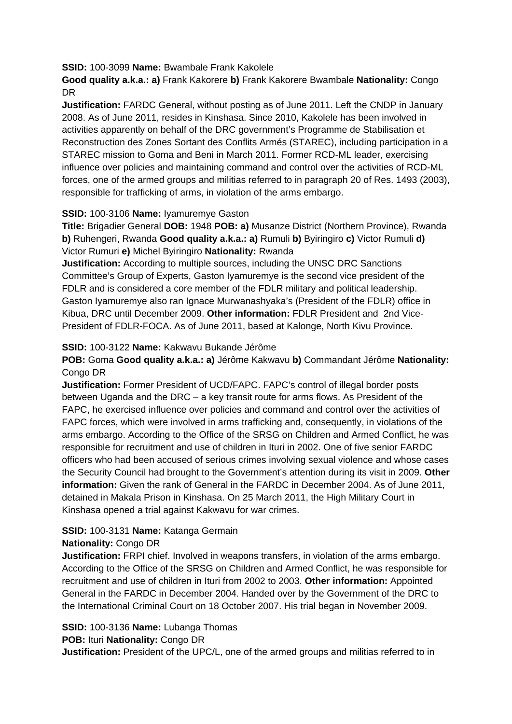**SSID:** 100-3099 **Name:** Bwambale Frank Kakolele

**Good quality a.k.a.: a)** Frank Kakorere **b)** Frank Kakorere Bwambale **Nationality:** Congo DR

**Justification:** FARDC General, without posting as of June 2011. Left the CNDP in January 2008. As of June 2011, resides in Kinshasa. Since 2010, Kakolele has been involved in activities apparently on behalf of the DRC government's Programme de Stabilisation et Reconstruction des Zones Sortant des Conflits Armés (STAREC), including participation in a STAREC mission to Goma and Beni in March 2011. Former RCD-ML leader, exercising influence over policies and maintaining command and control over the activities of RCD-ML forces, one of the armed groups and militias referred to in paragraph 20 of Res. 1493 (2003), responsible for trafficking of arms, in violation of the arms embargo.

# **SSID:** 100-3106 **Name:** Iyamuremye Gaston

**Title:** Brigadier General **DOB:** 1948 **POB: a)** Musanze District (Northern Province), Rwanda **b)** Ruhengeri, Rwanda **Good quality a.k.a.: a)** Rumuli **b)** Byiringiro **c)** Victor Rumuli **d)**  Victor Rumuri **e)** Michel Byiringiro **Nationality:** Rwanda

**Justification:** According to multiple sources, including the UNSC DRC Sanctions Committee's Group of Experts, Gaston Iyamuremye is the second vice president of the FDLR and is considered a core member of the FDLR military and political leadership. Gaston Iyamuremye also ran Ignace Murwanashyaka's (President of the FDLR) office in Kibua, DRC until December 2009. **Other information:** FDLR President and 2nd Vice-President of FDLR-FOCA. As of June 2011, based at Kalonge, North Kivu Province.

# **SSID:** 100-3122 **Name:** Kakwavu Bukande Jérôme

**POB:** Goma **Good quality a.k.a.: a)** Jérôme Kakwavu **b)** Commandant Jérôme **Nationality:** Congo DR

**Justification:** Former President of UCD/FAPC. FAPC's control of illegal border posts between Uganda and the DRC – a key transit route for arms flows. As President of the FAPC, he exercised influence over policies and command and control over the activities of FAPC forces, which were involved in arms trafficking and, consequently, in violations of the arms embargo. According to the Office of the SRSG on Children and Armed Conflict, he was responsible for recruitment and use of children in Ituri in 2002. One of five senior FARDC officers who had been accused of serious crimes involving sexual violence and whose cases the Security Council had brought to the Government's attention during its visit in 2009. **Other information:** Given the rank of General in the FARDC in December 2004. As of June 2011, detained in Makala Prison in Kinshasa. On 25 March 2011, the High Military Court in Kinshasa opened a trial against Kakwavu for war crimes.

# **SSID:** 100-3131 **Name:** Katanga Germain

## **Nationality:** Congo DR

**Justification:** FRPI chief. Involved in weapons transfers, in violation of the arms embargo. According to the Office of the SRSG on Children and Armed Conflict, he was responsible for recruitment and use of children in Ituri from 2002 to 2003. **Other information:** Appointed General in the FARDC in December 2004. Handed over by the Government of the DRC to the International Criminal Court on 18 October 2007. His trial began in November 2009.

# **SSID:** 100-3136 **Name:** Lubanga Thomas

**POB:** Ituri **Nationality:** Congo DR

**Justification:** President of the UPC/L, one of the armed groups and militias referred to in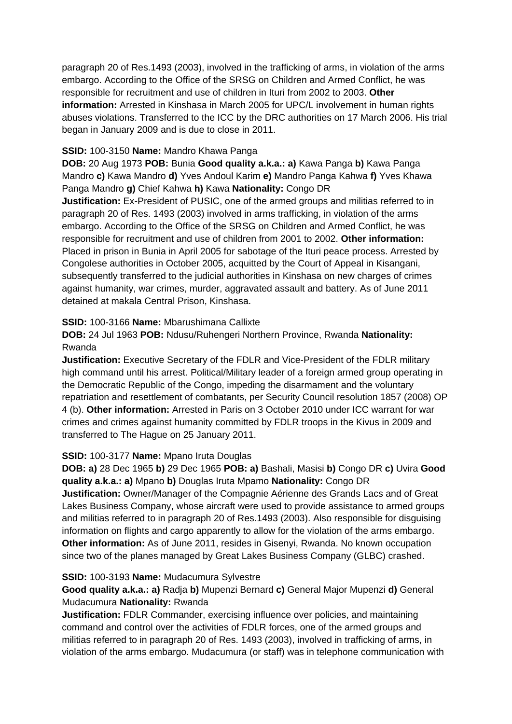paragraph 20 of Res.1493 (2003), involved in the trafficking of arms, in violation of the arms embargo. According to the Office of the SRSG on Children and Armed Conflict, he was responsible for recruitment and use of children in Ituri from 2002 to 2003. **Other information:** Arrested in Kinshasa in March 2005 for UPC/L involvement in human rights abuses violations. Transferred to the ICC by the DRC authorities on 17 March 2006. His trial began in January 2009 and is due to close in 2011.

## **SSID:** 100-3150 **Name:** Mandro Khawa Panga

**DOB:** 20 Aug 1973 **POB:** Bunia **Good quality a.k.a.: a)** Kawa Panga **b)** Kawa Panga Mandro **c)** Kawa Mandro **d)** Yves Andoul Karim **e)** Mandro Panga Kahwa **f)** Yves Khawa Panga Mandro **g)** Chief Kahwa **h)** Kawa **Nationality:** Congo DR

**Justification:** Ex-President of PUSIC, one of the armed groups and militias referred to in paragraph 20 of Res. 1493 (2003) involved in arms trafficking, in violation of the arms embargo. According to the Office of the SRSG on Children and Armed Conflict, he was responsible for recruitment and use of children from 2001 to 2002. **Other information:** Placed in prison in Bunia in April 2005 for sabotage of the Ituri peace process. Arrested by Congolese authorities in October 2005, acquitted by the Court of Appeal in Kisangani, subsequently transferred to the judicial authorities in Kinshasa on new charges of crimes against humanity, war crimes, murder, aggravated assault and battery. As of June 2011 detained at makala Central Prison, Kinshasa.

## **SSID:** 100-3166 **Name:** Mbarushimana Callixte

**DOB:** 24 Jul 1963 **POB:** Ndusu/Ruhengeri Northern Province, Rwanda **Nationality:** Rwanda

**Justification:** Executive Secretary of the FDLR and Vice-President of the FDLR military high command until his arrest. Political/Military leader of a foreign armed group operating in the Democratic Republic of the Congo, impeding the disarmament and the voluntary repatriation and resettlement of combatants, per Security Council resolution 1857 (2008) OP 4 (b). **Other information:** Arrested in Paris on 3 October 2010 under ICC warrant for war crimes and crimes against humanity committed by FDLR troops in the Kivus in 2009 and transferred to The Hague on 25 January 2011.

## **SSID:** 100-3177 **Name:** Mpano Iruta Douglas

**DOB: a)** 28 Dec 1965 **b)** 29 Dec 1965 **POB: a)** Bashali, Masisi **b)** Congo DR **c)** Uvira **Good quality a.k.a.: a)** Mpano **b)** Douglas Iruta Mpamo **Nationality:** Congo DR

**Justification:** Owner/Manager of the Compagnie Aérienne des Grands Lacs and of Great Lakes Business Company, whose aircraft were used to provide assistance to armed groups and militias referred to in paragraph 20 of Res.1493 (2003). Also responsible for disguising information on flights and cargo apparently to allow for the violation of the arms embargo. **Other information:** As of June 2011, resides in Gisenyi, Rwanda. No known occupation since two of the planes managed by Great Lakes Business Company (GLBC) crashed.

#### **SSID:** 100-3193 **Name:** Mudacumura Sylvestre

**Good quality a.k.a.: a)** Radja **b)** Mupenzi Bernard **c)** General Major Mupenzi **d)** General Mudacumura **Nationality:** Rwanda

**Justification:** FDLR Commander, exercising influence over policies, and maintaining command and control over the activities of FDLR forces, one of the armed groups and militias referred to in paragraph 20 of Res. 1493 (2003), involved in trafficking of arms, in violation of the arms embargo. Mudacumura (or staff) was in telephone communication with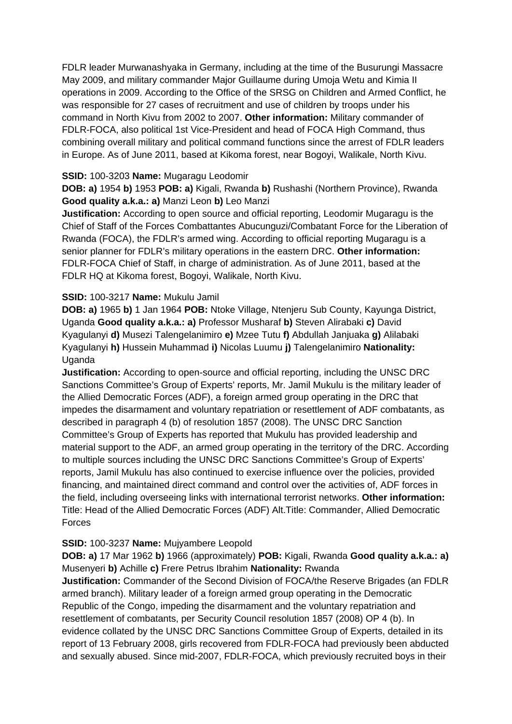FDLR leader Murwanashyaka in Germany, including at the time of the Busurungi Massacre May 2009, and military commander Major Guillaume during Umoja Wetu and Kimia II operations in 2009. According to the Office of the SRSG on Children and Armed Conflict, he was responsible for 27 cases of recruitment and use of children by troops under his command in North Kivu from 2002 to 2007. **Other information:** Military commander of FDLR-FOCA, also political 1st Vice-President and head of FOCA High Command, thus combining overall military and political command functions since the arrest of FDLR leaders in Europe. As of June 2011, based at Kikoma forest, near Bogoyi, Walikale, North Kivu.

## **SSID:** 100-3203 **Name:** Mugaragu Leodomir

**DOB: a)** 1954 **b)** 1953 **POB: a)** Kigali, Rwanda **b)** Rushashi (Northern Province), Rwanda **Good quality a.k.a.: a)** Manzi Leon **b)** Leo Manzi

**Justification:** According to open source and official reporting, Leodomir Mugaragu is the Chief of Staff of the Forces Combattantes Abucunguzi/Combatant Force for the Liberation of Rwanda (FOCA), the FDLR's armed wing. According to official reporting Mugaragu is a senior planner for FDLR's military operations in the eastern DRC. **Other information:** FDLR-FOCA Chief of Staff, in charge of administration. As of June 2011, based at the FDLR HQ at Kikoma forest, Bogoyi, Walikale, North Kivu.

## **SSID:** 100-3217 **Name:** Mukulu Jamil

**DOB: a)** 1965 **b)** 1 Jan 1964 **POB:** Ntoke Village, Ntenjeru Sub County, Kayunga District, Uganda **Good quality a.k.a.: a)** Professor Musharaf **b)** Steven Alirabaki **c)** David Kyagulanyi **d)** Musezi Talengelanimiro **e)** Mzee Tutu **f)** Abdullah Janjuaka **g)** Alilabaki Kyagulanyi **h)** Hussein Muhammad **i)** Nicolas Luumu **j)** Talengelanimiro **Nationality:** Uganda

**Justification:** According to open-source and official reporting, including the UNSC DRC Sanctions Committee's Group of Experts' reports, Mr. Jamil Mukulu is the military leader of the Allied Democratic Forces (ADF), a foreign armed group operating in the DRC that impedes the disarmament and voluntary repatriation or resettlement of ADF combatants, as described in paragraph 4 (b) of resolution 1857 (2008). The UNSC DRC Sanction Committee's Group of Experts has reported that Mukulu has provided leadership and material support to the ADF, an armed group operating in the territory of the DRC. According to multiple sources including the UNSC DRC Sanctions Committee's Group of Experts' reports, Jamil Mukulu has also continued to exercise influence over the policies, provided financing, and maintained direct command and control over the activities of, ADF forces in the field, including overseeing links with international terrorist networks. **Other information:** Title: Head of the Allied Democratic Forces (ADF) Alt.Title: Commander, Allied Democratic Forces

#### **SSID:** 100-3237 **Name:** Mujyambere Leopold

**DOB: a)** 17 Mar 1962 **b)** 1966 (approximately) **POB:** Kigali, Rwanda **Good quality a.k.a.: a)**  Musenyeri **b)** Achille **c)** Frere Petrus Ibrahim **Nationality:** Rwanda

**Justification:** Commander of the Second Division of FOCA/the Reserve Brigades (an FDLR armed branch). Military leader of a foreign armed group operating in the Democratic Republic of the Congo, impeding the disarmament and the voluntary repatriation and resettlement of combatants, per Security Council resolution 1857 (2008) OP 4 (b). In evidence collated by the UNSC DRC Sanctions Committee Group of Experts, detailed in its report of 13 February 2008, girls recovered from FDLR-FOCA had previously been abducted and sexually abused. Since mid-2007, FDLR-FOCA, which previously recruited boys in their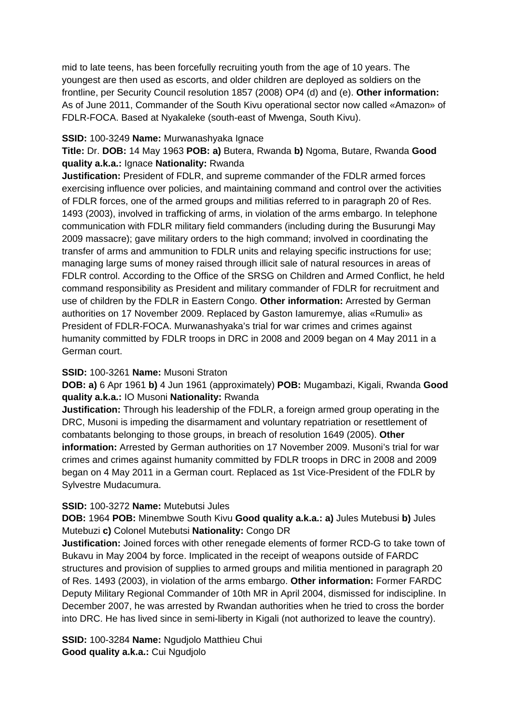mid to late teens, has been forcefully recruiting youth from the age of 10 years. The youngest are then used as escorts, and older children are deployed as soldiers on the frontline, per Security Council resolution 1857 (2008) OP4 (d) and (e). **Other information:** As of June 2011, Commander of the South Kivu operational sector now called «Amazon» of FDLR-FOCA. Based at Nyakaleke (south-east of Mwenga, South Kivu).

#### **SSID:** 100-3249 **Name:** Murwanashyaka Ignace

**Title:** Dr. **DOB:** 14 May 1963 **POB: a)** Butera, Rwanda **b)** Ngoma, Butare, Rwanda **Good quality a.k.a.:** Ignace **Nationality:** Rwanda

**Justification:** President of FDLR, and supreme commander of the FDLR armed forces exercising influence over policies, and maintaining command and control over the activities of FDLR forces, one of the armed groups and militias referred to in paragraph 20 of Res. 1493 (2003), involved in trafficking of arms, in violation of the arms embargo. In telephone communication with FDLR military field commanders (including during the Busurungi May 2009 massacre); gave military orders to the high command; involved in coordinating the transfer of arms and ammunition to FDLR units and relaying specific instructions for use; managing large sums of money raised through illicit sale of natural resources in areas of FDLR control. According to the Office of the SRSG on Children and Armed Conflict, he held command responsibility as President and military commander of FDLR for recruitment and use of children by the FDLR in Eastern Congo. **Other information:** Arrested by German authorities on 17 November 2009. Replaced by Gaston Iamuremye, alias «Rumuli» as President of FDLR-FOCA. Murwanashyaka's trial for war crimes and crimes against humanity committed by FDLR troops in DRC in 2008 and 2009 began on 4 May 2011 in a German court.

## **SSID:** 100-3261 **Name:** Musoni Straton

**DOB: a)** 6 Apr 1961 **b)** 4 Jun 1961 (approximately) **POB:** Mugambazi, Kigali, Rwanda **Good quality a.k.a.:** IO Musoni **Nationality:** Rwanda

**Justification:** Through his leadership of the FDLR, a foreign armed group operating in the DRC, Musoni is impeding the disarmament and voluntary repatriation or resettlement of combatants belonging to those groups, in breach of resolution 1649 (2005). **Other information:** Arrested by German authorities on 17 November 2009. Musoni's trial for war crimes and crimes against humanity committed by FDLR troops in DRC in 2008 and 2009 began on 4 May 2011 in a German court. Replaced as 1st Vice-President of the FDLR by Sylvestre Mudacumura.

#### **SSID:** 100-3272 **Name:** Mutebutsi Jules

**DOB:** 1964 **POB:** Minembwe South Kivu **Good quality a.k.a.: a)** Jules Mutebusi **b)** Jules Mutebuzi **c)** Colonel Mutebutsi **Nationality:** Congo DR

**Justification:** Joined forces with other renegade elements of former RCD-G to take town of Bukavu in May 2004 by force. Implicated in the receipt of weapons outside of FARDC structures and provision of supplies to armed groups and militia mentioned in paragraph 20 of Res. 1493 (2003), in violation of the arms embargo. **Other information:** Former FARDC Deputy Military Regional Commander of 10th MR in April 2004, dismissed for indiscipline. In December 2007, he was arrested by Rwandan authorities when he tried to cross the border into DRC. He has lived since in semi-liberty in Kigali (not authorized to leave the country).

**SSID:** 100-3284 **Name:** Ngudjolo Matthieu Chui **Good quality a.k.a.:** Cui Ngudjolo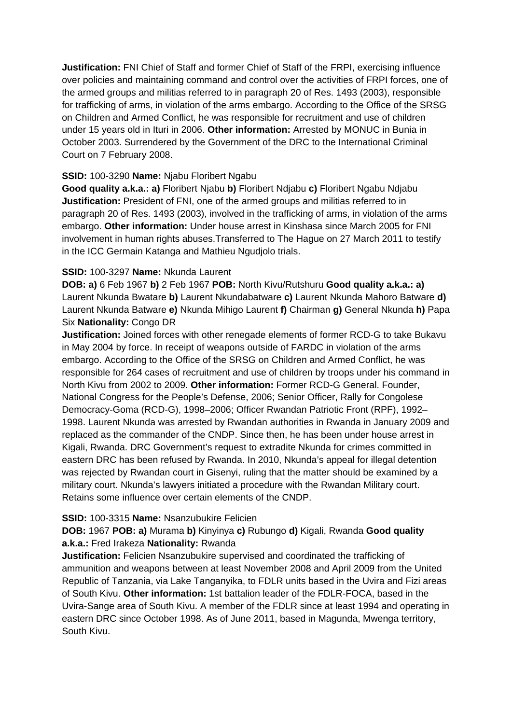**Justification:** FNI Chief of Staff and former Chief of Staff of the FRPI, exercising influence over policies and maintaining command and control over the activities of FRPI forces, one of the armed groups and militias referred to in paragraph 20 of Res. 1493 (2003), responsible for trafficking of arms, in violation of the arms embargo. According to the Office of the SRSG on Children and Armed Conflict, he was responsible for recruitment and use of children under 15 years old in Ituri in 2006. **Other information:** Arrested by MONUC in Bunia in October 2003. Surrendered by the Government of the DRC to the International Criminal Court on 7 February 2008.

## **SSID:** 100-3290 **Name:** Njabu Floribert Ngabu

**Good quality a.k.a.: a)** Floribert Njabu **b)** Floribert Ndjabu **c)** Floribert Ngabu Ndjabu **Justification:** President of FNI, one of the armed groups and militias referred to in paragraph 20 of Res. 1493 (2003), involved in the trafficking of arms, in violation of the arms embargo. **Other information:** Under house arrest in Kinshasa since March 2005 for FNI involvement in human rights abuses.Transferred to The Hague on 27 March 2011 to testify in the ICC Germain Katanga and Mathieu Ngudjolo trials.

## **SSID:** 100-3297 **Name:** Nkunda Laurent

**DOB: a)** 6 Feb 1967 **b)** 2 Feb 1967 **POB:** North Kivu/Rutshuru **Good quality a.k.a.: a)**  Laurent Nkunda Bwatare **b)** Laurent Nkundabatware **c)** Laurent Nkunda Mahoro Batware **d)**  Laurent Nkunda Batware **e)** Nkunda Mihigo Laurent **f)** Chairman **g)** General Nkunda **h)** Papa Six **Nationality:** Congo DR

**Justification:** Joined forces with other renegade elements of former RCD-G to take Bukavu in May 2004 by force. In receipt of weapons outside of FARDC in violation of the arms embargo. According to the Office of the SRSG on Children and Armed Conflict, he was responsible for 264 cases of recruitment and use of children by troops under his command in North Kivu from 2002 to 2009. **Other information:** Former RCD-G General. Founder, National Congress for the People's Defense, 2006; Senior Officer, Rally for Congolese Democracy-Goma (RCD-G), 1998–2006; Officer Rwandan Patriotic Front (RPF), 1992– 1998. Laurent Nkunda was arrested by Rwandan authorities in Rwanda in January 2009 and replaced as the commander of the CNDP. Since then, he has been under house arrest in Kigali, Rwanda. DRC Government's request to extradite Nkunda for crimes committed in eastern DRC has been refused by Rwanda. In 2010, Nkunda's appeal for illegal detention was rejected by Rwandan court in Gisenyi, ruling that the matter should be examined by a military court. Nkunda's lawyers initiated a procedure with the Rwandan Military court. Retains some influence over certain elements of the CNDP.

#### **SSID:** 100-3315 **Name:** Nsanzubukire Felicien

## **DOB:** 1967 **POB: a)** Murama **b)** Kinyinya **c)** Rubungo **d)** Kigali, Rwanda **Good quality a.k.a.:** Fred Irakeza **Nationality:** Rwanda

**Justification:** Felicien Nsanzubukire supervised and coordinated the trafficking of ammunition and weapons between at least November 2008 and April 2009 from the United Republic of Tanzania, via Lake Tanganyika, to FDLR units based in the Uvira and Fizi areas of South Kivu. **Other information:** 1st battalion leader of the FDLR-FOCA, based in the Uvira-Sange area of South Kivu. A member of the FDLR since at least 1994 and operating in eastern DRC since October 1998. As of June 2011, based in Magunda, Mwenga territory, South Kivu.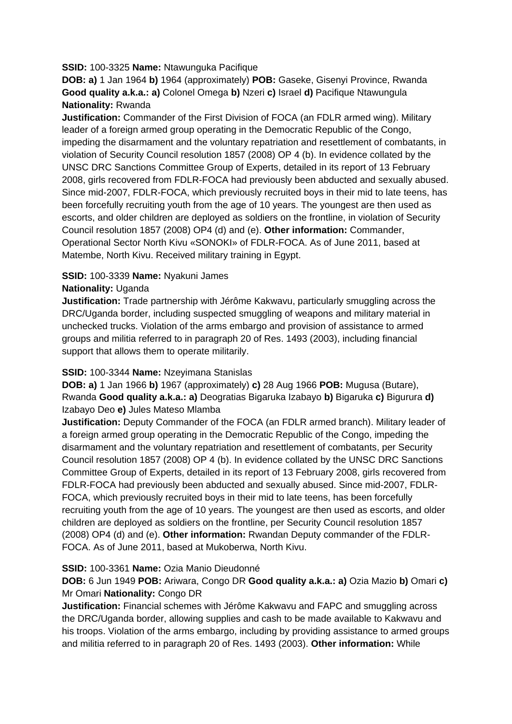## **SSID:** 100-3325 **Name:** Ntawunguka Pacifique

**DOB: a)** 1 Jan 1964 **b)** 1964 (approximately) **POB:** Gaseke, Gisenyi Province, Rwanda **Good quality a.k.a.: a)** Colonel Omega **b)** Nzeri **c)** Israel **d)** Pacifique Ntawungula **Nationality:** Rwanda

**Justification:** Commander of the First Division of FOCA (an FDLR armed wing). Military leader of a foreign armed group operating in the Democratic Republic of the Congo, impeding the disarmament and the voluntary repatriation and resettlement of combatants, in violation of Security Council resolution 1857 (2008) OP 4 (b). In evidence collated by the UNSC DRC Sanctions Committee Group of Experts, detailed in its report of 13 February 2008, girls recovered from FDLR-FOCA had previously been abducted and sexually abused. Since mid-2007, FDLR-FOCA, which previously recruited boys in their mid to late teens, has been forcefully recruiting youth from the age of 10 years. The youngest are then used as escorts, and older children are deployed as soldiers on the frontline, in violation of Security Council resolution 1857 (2008) OP4 (d) and (e). **Other information:** Commander, Operational Sector North Kivu «SONOKI» of FDLR-FOCA. As of June 2011, based at Matembe, North Kivu. Received military training in Egypt.

## **SSID:** 100-3339 **Name:** Nyakuni James

## **Nationality:** Uganda

**Justification:** Trade partnership with Jérôme Kakwavu, particularly smuggling across the DRC/Uganda border, including suspected smuggling of weapons and military material in unchecked trucks. Violation of the arms embargo and provision of assistance to armed groups and militia referred to in paragraph 20 of Res. 1493 (2003), including financial support that allows them to operate militarily.

## **SSID:** 100-3344 **Name:** Nzeyimana Stanislas

**DOB: a)** 1 Jan 1966 **b)** 1967 (approximately) **c)** 28 Aug 1966 **POB:** Mugusa (Butare), Rwanda **Good quality a.k.a.: a)** Deogratias Bigaruka Izabayo **b)** Bigaruka **c)** Bigurura **d)**  Izabayo Deo **e)** Jules Mateso Mlamba

**Justification:** Deputy Commander of the FOCA (an FDLR armed branch). Military leader of a foreign armed group operating in the Democratic Republic of the Congo, impeding the disarmament and the voluntary repatriation and resettlement of combatants, per Security Council resolution 1857 (2008) OP 4 (b). In evidence collated by the UNSC DRC Sanctions Committee Group of Experts, detailed in its report of 13 February 2008, girls recovered from FDLR-FOCA had previously been abducted and sexually abused. Since mid-2007, FDLR-FOCA, which previously recruited boys in their mid to late teens, has been forcefully recruiting youth from the age of 10 years. The youngest are then used as escorts, and older children are deployed as soldiers on the frontline, per Security Council resolution 1857 (2008) OP4 (d) and (e). **Other information:** Rwandan Deputy commander of the FDLR-FOCA. As of June 2011, based at Mukoberwa, North Kivu.

#### **SSID:** 100-3361 **Name:** Ozia Manio Dieudonné

## **DOB:** 6 Jun 1949 **POB:** Ariwara, Congo DR **Good quality a.k.a.: a)** Ozia Mazio **b)** Omari **c)**  Mr Omari **Nationality:** Congo DR

**Justification:** Financial schemes with Jérôme Kakwavu and FAPC and smuggling across the DRC/Uganda border, allowing supplies and cash to be made available to Kakwavu and his troops. Violation of the arms embargo, including by providing assistance to armed groups and militia referred to in paragraph 20 of Res. 1493 (2003). **Other information:** While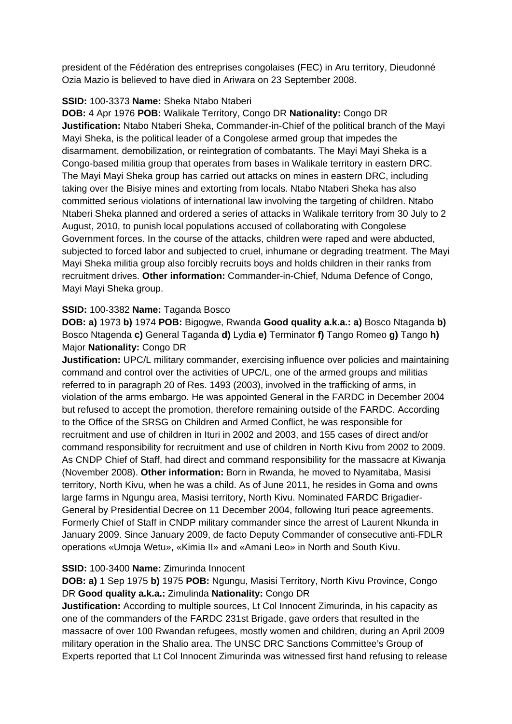president of the Fédération des entreprises congolaises (FEC) in Aru territory, Dieudonné Ozia Mazio is believed to have died in Ariwara on 23 September 2008.

## **SSID:** 100-3373 **Name:** Sheka Ntabo Ntaberi

**DOB:** 4 Apr 1976 **POB:** Walikale Territory, Congo DR **Nationality:** Congo DR **Justification:** Ntabo Ntaberi Sheka, Commander-in-Chief of the political branch of the Mayi Mayi Sheka, is the political leader of a Congolese armed group that impedes the disarmament, demobilization, or reintegration of combatants. The Mayi Mayi Sheka is a Congo-based militia group that operates from bases in Walikale territory in eastern DRC. The Mayi Mayi Sheka group has carried out attacks on mines in eastern DRC, including taking over the Bisiye mines and extorting from locals. Ntabo Ntaberi Sheka has also committed serious violations of international law involving the targeting of children. Ntabo Ntaberi Sheka planned and ordered a series of attacks in Walikale territory from 30 July to 2 August, 2010, to punish local populations accused of collaborating with Congolese Government forces. In the course of the attacks, children were raped and were abducted, subjected to forced labor and subjected to cruel, inhumane or degrading treatment. The Mayi Mayi Sheka militia group also forcibly recruits boys and holds children in their ranks from recruitment drives. **Other information:** Commander-in-Chief, Nduma Defence of Congo, Mayi Mayi Sheka group.

## **SSID:** 100-3382 **Name:** Taganda Bosco

**DOB: a)** 1973 **b)** 1974 **POB:** Bigogwe, Rwanda **Good quality a.k.a.: a)** Bosco Ntaganda **b)**  Bosco Ntagenda **c)** General Taganda **d)** Lydia **e)** Terminator **f)** Tango Romeo **g)** Tango **h)**  Major **Nationality:** Congo DR

**Justification:** UPC/L military commander, exercising influence over policies and maintaining command and control over the activities of UPC/L, one of the armed groups and militias referred to in paragraph 20 of Res. 1493 (2003), involved in the trafficking of arms, in violation of the arms embargo. He was appointed General in the FARDC in December 2004 but refused to accept the promotion, therefore remaining outside of the FARDC. According to the Office of the SRSG on Children and Armed Conflict, he was responsible for recruitment and use of children in Ituri in 2002 and 2003, and 155 cases of direct and/or command responsibility for recruitment and use of children in North Kivu from 2002 to 2009. As CNDP Chief of Staff, had direct and command responsibility for the massacre at Kiwanja (November 2008). **Other information:** Born in Rwanda, he moved to Nyamitaba, Masisi territory, North Kivu, when he was a child. As of June 2011, he resides in Goma and owns large farms in Ngungu area, Masisi territory, North Kivu. Nominated FARDC Brigadier-General by Presidential Decree on 11 December 2004, following Ituri peace agreements. Formerly Chief of Staff in CNDP military commander since the arrest of Laurent Nkunda in January 2009. Since January 2009, de facto Deputy Commander of consecutive anti-FDLR operations «Umoja Wetu», «Kimia II» and «Amani Leo» in North and South Kivu.

#### **SSID:** 100-3400 **Name:** Zimurinda Innocent

**DOB: a)** 1 Sep 1975 **b)** 1975 **POB:** Ngungu, Masisi Territory, North Kivu Province, Congo DR **Good quality a.k.a.:** Zimulinda **Nationality:** Congo DR

**Justification:** According to multiple sources, Lt Col Innocent Zimurinda, in his capacity as one of the commanders of the FARDC 231st Brigade, gave orders that resulted in the massacre of over 100 Rwandan refugees, mostly women and children, during an April 2009 military operation in the Shalio area. The UNSC DRC Sanctions Committee's Group of Experts reported that Lt Col Innocent Zimurinda was witnessed first hand refusing to release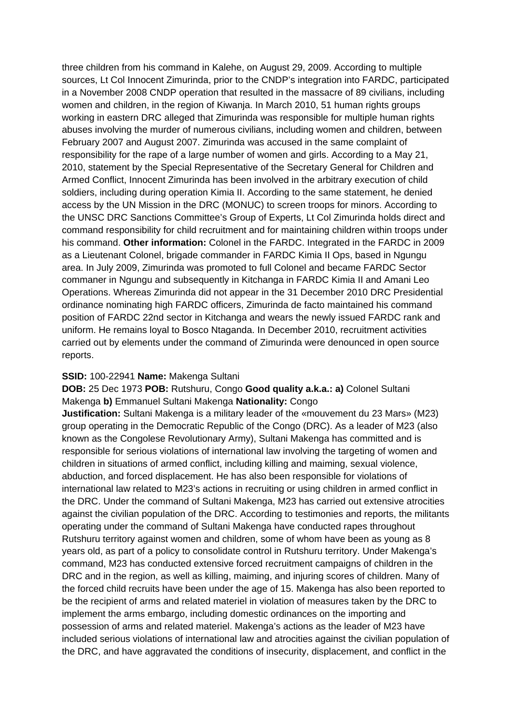three children from his command in Kalehe, on August 29, 2009. According to multiple sources, Lt Col Innocent Zimurinda, prior to the CNDP's integration into FARDC, participated in a November 2008 CNDP operation that resulted in the massacre of 89 civilians, including women and children, in the region of Kiwanja. In March 2010, 51 human rights groups working in eastern DRC alleged that Zimurinda was responsible for multiple human rights abuses involving the murder of numerous civilians, including women and children, between February 2007 and August 2007. Zimurinda was accused in the same complaint of responsibility for the rape of a large number of women and girls. According to a May 21, 2010, statement by the Special Representative of the Secretary General for Children and Armed Conflict, Innocent Zimurinda has been involved in the arbitrary execution of child soldiers, including during operation Kimia II. According to the same statement, he denied access by the UN Mission in the DRC (MONUC) to screen troops for minors. According to the UNSC DRC Sanctions Committee's Group of Experts, Lt Col Zimurinda holds direct and command responsibility for child recruitment and for maintaining children within troops under his command. **Other information:** Colonel in the FARDC. Integrated in the FARDC in 2009 as a Lieutenant Colonel, brigade commander in FARDC Kimia II Ops, based in Ngungu area. In July 2009, Zimurinda was promoted to full Colonel and became FARDC Sector commaner in Ngungu and subsequently in Kitchanga in FARDC Kimia II and Amani Leo Operations. Whereas Zimurinda did not appear in the 31 December 2010 DRC Presidential ordinance nominating high FARDC officers, Zimurinda de facto maintained his command position of FARDC 22nd sector in Kitchanga and wears the newly issued FARDC rank and uniform. He remains loyal to Bosco Ntaganda. In December 2010, recruitment activities carried out by elements under the command of Zimurinda were denounced in open source reports.

#### **SSID:** 100-22941 **Name:** Makenga Sultani

#### **DOB:** 25 Dec 1973 **POB:** Rutshuru, Congo **Good quality a.k.a.: a)** Colonel Sultani Makenga **b)** Emmanuel Sultani Makenga **Nationality:** Congo

**Justification:** Sultani Makenga is a military leader of the «mouvement du 23 Mars» (M23) group operating in the Democratic Republic of the Congo (DRC). As a leader of M23 (also known as the Congolese Revolutionary Army), Sultani Makenga has committed and is responsible for serious violations of international law involving the targeting of women and children in situations of armed conflict, including killing and maiming, sexual violence, abduction, and forced displacement. He has also been responsible for violations of international law related to M23's actions in recruiting or using children in armed conflict in the DRC. Under the command of Sultani Makenga, M23 has carried out extensive atrocities against the civilian population of the DRC. According to testimonies and reports, the militants operating under the command of Sultani Makenga have conducted rapes throughout Rutshuru territory against women and children, some of whom have been as young as 8 years old, as part of a policy to consolidate control in Rutshuru territory. Under Makenga's command, M23 has conducted extensive forced recruitment campaigns of children in the DRC and in the region, as well as killing, maiming, and injuring scores of children. Many of the forced child recruits have been under the age of 15. Makenga has also been reported to be the recipient of arms and related materiel in violation of measures taken by the DRC to implement the arms embargo, including domestic ordinances on the importing and possession of arms and related materiel. Makenga's actions as the leader of M23 have included serious violations of international law and atrocities against the civilian population of the DRC, and have aggravated the conditions of insecurity, displacement, and conflict in the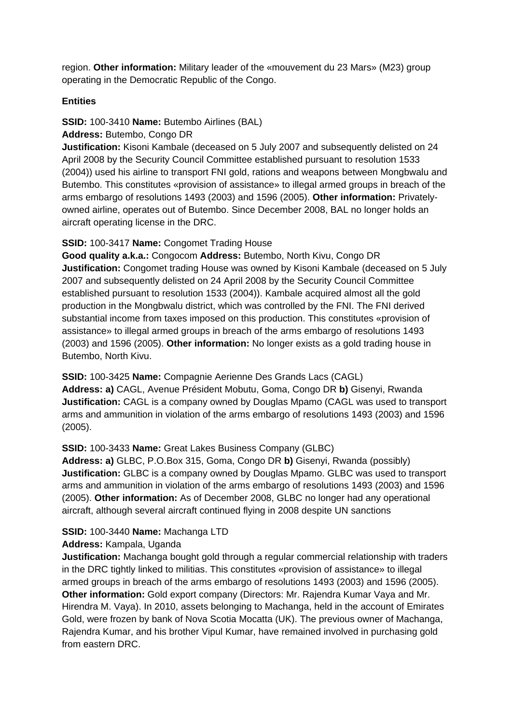region. **Other information:** Military leader of the «mouvement du 23 Mars» (M23) group operating in the Democratic Republic of the Congo.

### **Entities**

## **SSID:** 100-3410 **Name:** Butembo Airlines (BAL)

## **Address:** Butembo, Congo DR

**Justification:** Kisoni Kambale (deceased on 5 July 2007 and subsequently delisted on 24 April 2008 by the Security Council Committee established pursuant to resolution 1533 (2004)) used his airline to transport FNI gold, rations and weapons between Mongbwalu and Butembo. This constitutes «provision of assistance» to illegal armed groups in breach of the arms embargo of resolutions 1493 (2003) and 1596 (2005). **Other information:** Privatelyowned airline, operates out of Butembo. Since December 2008, BAL no longer holds an aircraft operating license in the DRC.

## **SSID:** 100-3417 **Name:** Congomet Trading House

**Good quality a.k.a.:** Congocom **Address:** Butembo, North Kivu, Congo DR **Justification:** Congomet trading House was owned by Kisoni Kambale (deceased on 5 July 2007 and subsequently delisted on 24 April 2008 by the Security Council Committee established pursuant to resolution 1533 (2004)). Kambale acquired almost all the gold production in the Mongbwalu district, which was controlled by the FNI. The FNI derived substantial income from taxes imposed on this production. This constitutes «provision of assistance» to illegal armed groups in breach of the arms embargo of resolutions 1493 (2003) and 1596 (2005). **Other information:** No longer exists as a gold trading house in Butembo, North Kivu.

#### **SSID:** 100-3425 **Name:** Compagnie Aerienne Des Grands Lacs (CAGL)

**Address: a)** CAGL, Avenue Président Mobutu, Goma, Congo DR **b)** Gisenyi, Rwanda **Justification:** CAGL is a company owned by Douglas Mpamo (CAGL was used to transport arms and ammunition in violation of the arms embargo of resolutions 1493 (2003) and 1596 (2005).

## **SSID:** 100-3433 **Name:** Great Lakes Business Company (GLBC)

**Address: a)** GLBC, P.O.Box 315, Goma, Congo DR **b)** Gisenyi, Rwanda (possibly) **Justification:** GLBC is a company owned by Douglas Mpamo. GLBC was used to transport arms and ammunition in violation of the arms embargo of resolutions 1493 (2003) and 1596 (2005). **Other information:** As of December 2008, GLBC no longer had any operational aircraft, although several aircraft continued flying in 2008 despite UN sanctions

## **SSID:** 100-3440 **Name:** Machanga LTD

#### **Address:** Kampala, Uganda

**Justification:** Machanga bought gold through a regular commercial relationship with traders in the DRC tightly linked to militias. This constitutes «provision of assistance» to illegal armed groups in breach of the arms embargo of resolutions 1493 (2003) and 1596 (2005). **Other information:** Gold export company (Directors: Mr. Rajendra Kumar Vaya and Mr. Hirendra M. Vaya). In 2010, assets belonging to Machanga, held in the account of Emirates Gold, were frozen by bank of Nova Scotia Mocatta (UK). The previous owner of Machanga, Rajendra Kumar, and his brother Vipul Kumar, have remained involved in purchasing gold from eastern DRC.